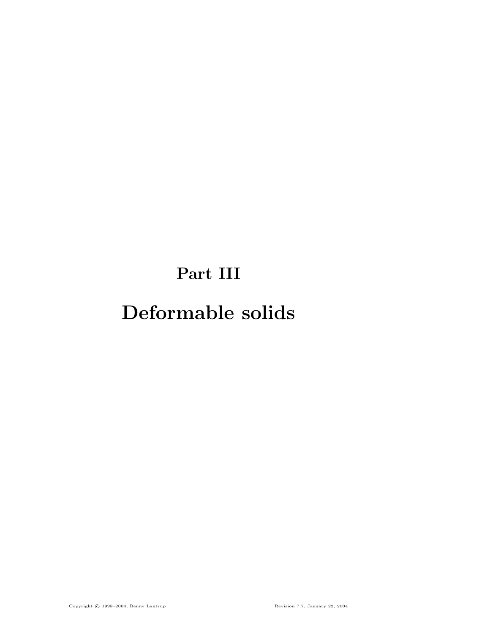# Part III

# Deformable solids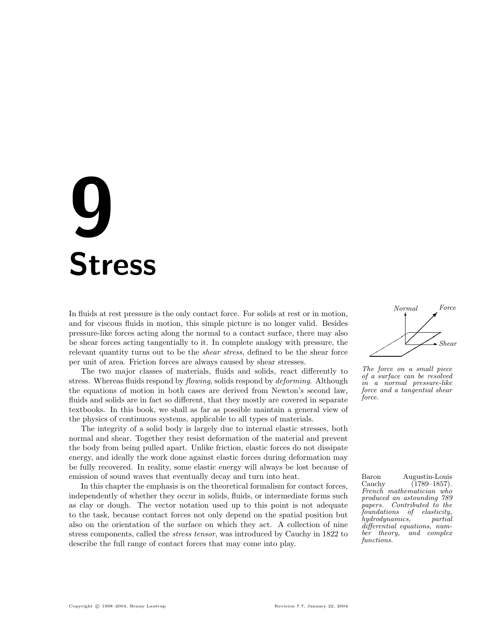# 9 Stress

In fluids at rest pressure is the only contact force. For solids at rest or in motion, and for viscous fluids in motion, this simple picture is no longer valid. Besides pressure-like forces acting along the normal to a contact surface, there may also be shear forces acting tangentially to it. In complete analogy with pressure, the relevant quantity turns out to be the *shear stress*, defined to be the shear force per unit of area. Friction forces are always caused by shear stresses.

The two major classes of materials, fluids and solids, react differently to stress. Whereas fluids respond by flowing, solids respond by deforming. Although the equations of motion in both cases are derived from Newton's second law, fluids and solids are in fact so different, that they mostly are covered in separate textbooks. In this book, we shall as far as possible maintain a general view of the physics of continuous systems, applicable to all types of materials.

The integrity of a solid body is largely due to internal elastic stresses, both normal and shear. Together they resist deformation of the material and prevent the body from being pulled apart. Unlike friction, elastic forces do not dissipate energy, and ideally the work done against elastic forces during deformation may be fully recovered. In reality, some elastic energy will always be lost because of emission of sound waves that eventually decay and turn into heat. Baron Augustin-Louis<br>In this chapter the emphasis is on the theoretical formalism for contact forces Cauchy (1789–1857).

In this chapter the emphasis is on the theoretical formalism for contact forces, independently of whether they occur in solids, fluids, or intermediate forms such as clay or dough. The vector notation used up to this point is not adequate to the task, because contact forces not only depend on the spatial position but also on the orientation of the surface on which they act. A collection of nine stress components, called the stress tensor, was introduced by Cauchy in 1822 to describe the full range of contact forces that may come into play.



The force on a small piece of a surface can be resolved in a normal pressure-like force and a tangential shear force.

 $(1789-1857)$ . French mathematician who produced an astounding 789 papers. Contributed to the foundations of elasticity, hydrodynamics, partial differential equations, number theory, and complex  $and$  complex functions.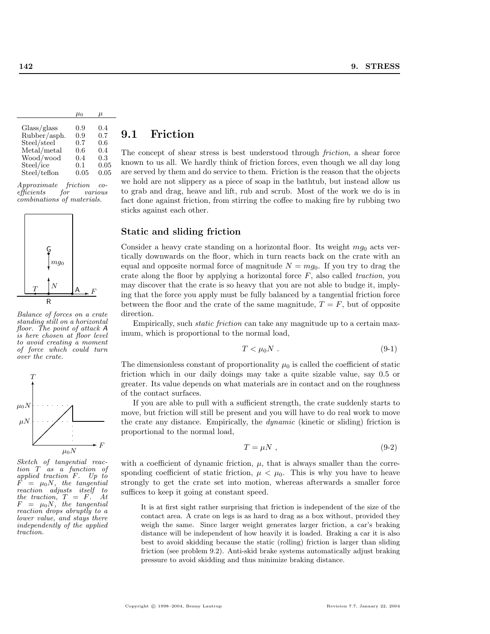|              | μνυ  | ~    |
|--------------|------|------|
|              |      |      |
| Glass/glass  | 0.9  | 0.4  |
| Rubber/asph. | 0.9  | 0.7  |
| Steel/steel  | 0.7  | 0.6  |
| Metal/metal  | 0.6  | 0.4  |
| Wood/wood    | 0.4  | 0.3  |
| Steel/ice    | 0.1  | 0.05 |
| Steel/teflon | 0.05 | 0.05 |

 $\mathbf{u}\circ \mathbf{u}$ 

Approximate friction co $e\hat{f}$ ficients combinations of materials.



Balance of forces on a crate standing still on a horizontal floor. The point of attack A is here chosen at floor level to avoid creating a moment of force which could turn over the crate.



Sketch of tangential reaction T as a function of applied traction  $F$ . Up to<br> $F = \mu_0 N$ , the tangential  $\mu_0 = \mu_0 N$ , the tangential reaction adjusts itself to the traction,  $T = F$ . At  $F = \mu_0 N$ , the tangential reaction drops abruptly to a lower value, and stays there independently of the applied traction.

# 9.1 Friction

The concept of shear stress is best understood through friction, a shear force known to us all. We hardly think of friction forces, even though we all day long are served by them and do service to them. Friction is the reason that the objects we hold are not slippery as a piece of soap in the bathtub, but instead allow us to grab and drag, heave and lift, rub and scrub. Most of the work we do is in fact done against friction, from stirring the coffee to making fire by rubbing two sticks against each other.

#### Static and sliding friction

Consider a heavy crate standing on a horizontal floor. Its weight  $mg_0$  acts vertically downwards on the floor, which in turn reacts back on the crate with an equal and opposite normal force of magnitude  $N = mg_0$ . If you try to drag the crate along the floor by applying a horizontal force  $F$ , also called *traction*, you may discover that the crate is so heavy that you are not able to budge it, implying that the force you apply must be fully balanced by a tangential friction force between the floor and the crate of the same magnitude,  $T = F$ , but of opposite direction.

Empirically, such static friction can take any magnitude up to a certain maximum, which is proportional to the normal load,

$$
T < \mu_0 N \tag{9-1}
$$

The dimensionless constant of proportionality  $\mu_0$  is called the coefficient of static friction which in our daily doings may take a quite sizable value, say 0.5 or greater. Its value depends on what materials are in contact and on the roughness of the contact surfaces.

If you are able to pull with a sufficient strength, the crate suddenly starts to move, but friction will still be present and you will have to do real work to move the crate any distance. Empirically, the dynamic (kinetic or sliding) friction is proportional to the normal load,

$$
T = \mu N \t{,} \t(9-2)
$$

with a coefficient of dynamic friction,  $\mu$ , that is always smaller than the corresponding coefficient of static friction,  $\mu < \mu_0$ . This is why you have to heave strongly to get the crate set into motion, whereas afterwards a smaller force suffices to keep it going at constant speed.

It is at first sight rather surprising that friction is independent of the size of the contact area. A crate on legs is as hard to drag as a box without, provided they weigh the same. Since larger weight generates larger friction, a car's braking distance will be independent of how heavily it is loaded. Braking a car it is also best to avoid skidding because the static (rolling) friction is larger than sliding friction (see problem 9.2). Anti-skid brake systems automatically adjust braking pressure to avoid skidding and thus minimize braking distance.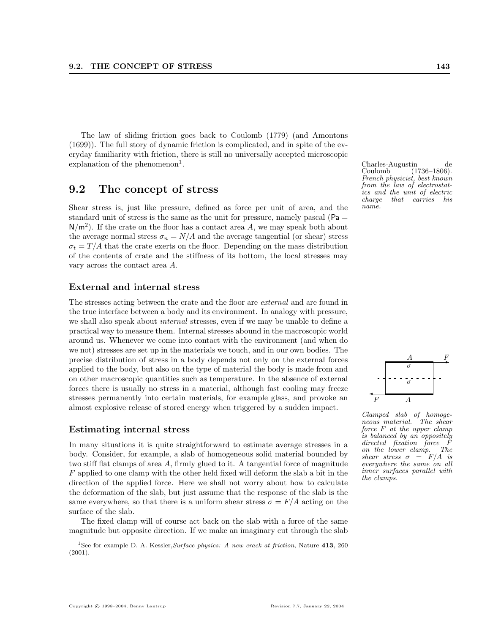The law of sliding friction goes back to Coulomb (1779) (and Amontons (1699)). The full story of dynamic friction is complicated, and in spite of the everyday familiarity with friction, there is still no universally accepted microscopic explanation of the phenomenon<sup>1</sup>.

# 9.2 The concept of stress

Shear stress is, just like pressure, defined as force per unit of area, and the standard unit of stress is the same as the unit for pressure, namely pascal ( $Pa =$  $N/m<sup>2</sup>$ ). If the crate on the floor has a contact area A, we may speak both about the average normal stress  $\sigma_n = N/A$  and the average tangential (or shear) stress  $\sigma_t = T/A$  that the crate exerts on the floor. Depending on the mass distribution of the contents of crate and the stiffness of its bottom, the local stresses may vary across the contact area A.

#### External and internal stress

The stresses acting between the crate and the floor are external and are found in the true interface between a body and its environment. In analogy with pressure, we shall also speak about internal stresses, even if we may be unable to define a practical way to measure them. Internal stresses abound in the macroscopic world around us. Whenever we come into contact with the environment (and when do we not) stresses are set up in the materials we touch, and in our own bodies. The precise distribution of stress in a body depends not only on the external forces applied to the body, but also on the type of material the body is made from and on other macroscopic quantities such as temperature. In the absence of external forces there is usually no stress in a material, although fast cooling may freeze stresses permanently into certain materials, for example glass, and provoke an almost explosive release of stored energy when triggered by a sudden impact.

#### Estimating internal stress

In many situations it is quite straightforward to estimate average stresses in a body. Consider, for example, a slab of homogeneous solid material bounded by two stiff flat clamps of area A, firmly glued to it. A tangential force of magnitude F applied to one clamp with the other held fixed will deform the slab a bit in the direction of the applied force. Here we shall not worry about how to calculate the deformation of the slab, but just assume that the response of the slab is the same everywhere, so that there is a uniform shear stress  $\sigma = F/A$  acting on the surface of the slab.

The fixed clamp will of course act back on the slab with a force of the same magnitude but opposite direction. If we make an imaginary cut through the slab Charles-Augustin de<br>Coulomb (1736–1806).  $(1736–1806).$ French physicist, best known from the law of electrostatics and the unit of electric charge that carries his name.



Clamped slab of homogeneous material. The shear force F at the upper clamp is balanced by an oppositely directed fixation force  $\bar{F}$ <br>on the lower clamp. The on the lower clamp. shear stress  $\sigma = F/A$  is everywhere the same on all inner surfaces parallel with the clamps.

<sup>&</sup>lt;sup>1</sup>See for example D. A. Kessler, Surface physics: A new crack at friction, Nature 413, 260 (2001).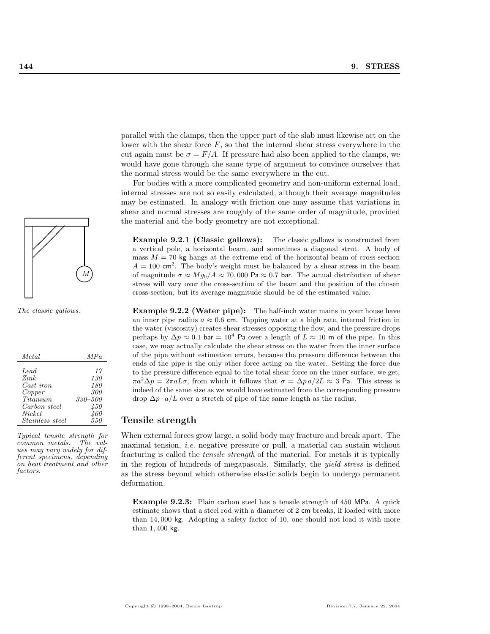

| Metal                      | MPa     |
|----------------------------|---------|
| Lead                       | 17      |
| Zink                       | 130     |
| Cast iron                  | 180     |
| Copper                     | 300     |
| $Ti\bar{t}$ <i>anium</i> . | 330–500 |
| Carbon steel               | 450     |
| <i>Nickel</i>              | 460     |
| Stainless steel            | 550     |

Typical tensile strength for common metals. The values may vary widely for different specimens, depending on heat treatment and other factors.

parallel with the clamps, then the upper part of the slab must likewise act on the lower with the shear force  $F$ , so that the internal shear stress everywhere in the cut again must be  $\sigma = F/A$ . If pressure had also been applied to the clamps, we would have gone through the same type of argument to convince ourselves that the normal stress would be the same everywhere in the cut.

For bodies with a more complicated geometry and non-uniform external load, internal stresses are not so easily calculated, although their average magnitudes may be estimated. In analogy with friction one may assume that variations in shear and normal stresses are roughly of the same order of magnitude, provided the material and the body geometry are not exceptional.

Example 9.2.1 (Classic gallows): The classic gallows is constructed from a vertical pole, a horizontal beam, and sometimes a diagonal strut. A body of mass  $M = 70$  kg hangs at the extreme end of the horizontal beam of cross-section  $A = 100$  cm<sup>2</sup>. The body's weight must be balanced by a shear stress in the beam of magnitude  $\sigma \approx Mg_0/A \approx 70,000$  Pa  $\approx 0.7$  bar. The actual distribution of shear stress will vary over the cross-section of the beam and the position of the chosen cross-section, but its average magnitude should be of the estimated value.

The classic gallows. **Example 9.2.2 (Water pipe):** The half-inch water mains in your house have an inner pipe radius  $a \approx 0.6$  cm. Tapping water at a high rate, internal friction in the water (viscosity) creates shear stresses opposing the flow, and the pressure drops perhaps by  $\Delta p \approx 0.1$  bar =  $10^4$  Pa over a length of  $L \approx 10$  m of the pipe. In this case, we may actually calculate the shear stress on the water from the inner surface of the pipe without estimation errors, because the pressure difference between the ends of the pipe is the only other force acting on the water. Setting the force due to the pressure difference equal to the total shear force on the inner surface, we get,  $\pi a^2 \Delta p = 2\pi a L \sigma$ , from which it follows that  $\sigma = \Delta p a / 2L \approx 3$  Pa. This stress is indeed of the same size as we would have estimated from the corresponding pressure drop  $\Delta p \cdot a/L$  over a stretch of pipe of the same length as the radius.

#### Tensile strength

When external forces grow large, a solid body may fracture and break apart. The maximal tension, i.e. negative pressure or pull, a material can sustain without fracturing is called the tensile strength of the material. For metals it is typically in the region of hundreds of megapascals. Similarly, the yield stress is defined as the stress beyond which otherwise elastic solids begin to undergo permanent deformation.

Example 9.2.3: Plain carbon steel has a tensile strength of 450 MPa. A quick estimate shows that a steel rod with a diameter of 2 cm breaks, if loaded with more than 14, 000 kg. Adopting a safety factor of 10, one should not load it with more than 1, 400 kg.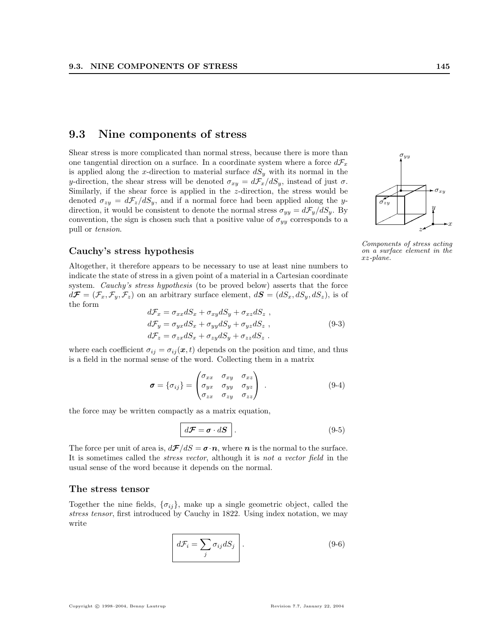## 9.3 Nine components of stress

Shear stress is more complicated than normal stress, because there is more than one tangential direction on a surface. In a coordinate system where a force  $d\mathcal{F}_x$ is applied along the x-direction to material surface  $dS<sub>y</sub>$  with its normal in the y-direction, the shear stress will be denoted  $\sigma_{xy} = d\mathcal{F}_x/dS_y$ , instead of just  $\sigma$ . Similarly, if the shear force is applied in the z-direction, the stress would be denoted  $\sigma_{zy} = d\mathcal{F}_z/dS_y$ , and if a normal force had been applied along the ydirection, it would be consistent to denote the normal stress  $\sigma_{yy} = dF_y/dS_y$ . By convention, the sign is chosen such that a positive value of  $\sigma_{yy}$  corresponds to a pull or tension.

### Cauchy's stress hypothesis

Altogether, it therefore appears to be necessary to use at least nine numbers to indicate the state of stress in a given point of a material in a Cartesian coordinate system. *Cauchy's stress hypothesis* (to be proved below) asserts that the force  $d\mathcal{F} = (\mathcal{F}_x, \mathcal{F}_y, \mathcal{F}_z)$  on an arbitrary surface element,  $d\mathbf{S} = (dS_x, dS_y, dS_z)$ , is of the form

$$
d\mathcal{F}_x = \sigma_{xx} dS_x + \sigma_{xy} dS_y + \sigma_{xz} dS_z ,
$$
  
\n
$$
d\mathcal{F}_y = \sigma_{yx} dS_x + \sigma_{yy} dS_y + \sigma_{yz} dS_z ,
$$
  
\n
$$
d\mathcal{F}_z = \sigma_{zx} dS_x + \sigma_{zy} dS_y + \sigma_{zz} dS_z .
$$
\n(9-3)

where each coefficient  $\sigma_{ij} = \sigma_{ij}(x, t)$  depends on the position and time, and thus is a field in the normal sense of the word. Collecting them in a matrix

$$
\boldsymbol{\sigma} = \{\sigma_{ij}\} = \begin{pmatrix} \sigma_{xx} & \sigma_{xy} & \sigma_{xz} \\ \sigma_{yx} & \sigma_{yy} & \sigma_{yz} \\ \sigma_{zx} & \sigma_{zy} & \sigma_{zz} \end{pmatrix} . \tag{9-4}
$$

the force may be written compactly as a matrix equation,

$$
d\mathcal{F} = \boldsymbol{\sigma} \cdot d\mathbf{S} \quad . \tag{9-5}
$$

The force per unit of area is,  $d\mathcal{F}/dS = \sigma \cdot n$ , where *n* is the normal to the surface. It is sometimes called the stress vector, although it is not a vector field in the usual sense of the word because it depends on the normal.

#### The stress tensor

Together the nine fields,  $\{\sigma_{ij}\}\$ , make up a single geometric object, called the stress tensor, first introduced by Cauchy in 1822. Using index notation, we may write

$$
\hat{d\mathcal{F}_i} = \sum_j \sigma_{ij} dS_j \quad (9-6)
$$



Components of stress acting on a surface element in the xz-plane.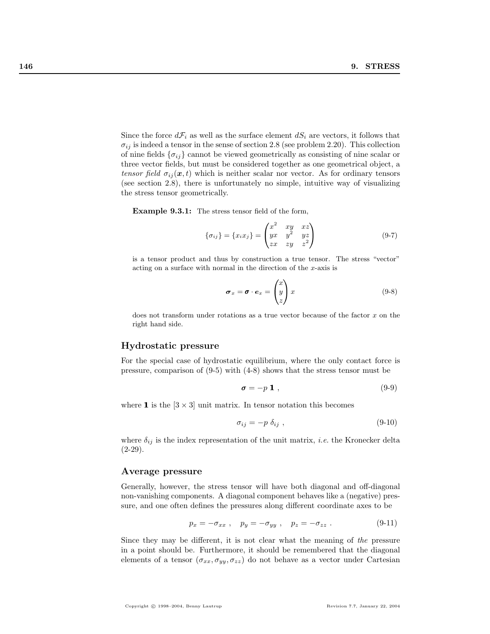Since the force  $d\mathcal{F}_i$  as well as the surface element  $dS_i$  are vectors, it follows that  $\sigma_{ij}$  is indeed a tensor in the sense of section 2.8 (see problem 2.20). This collection of nine fields  $\{\sigma_{ij}\}\$ cannot be viewed geometrically as consisting of nine scalar or three vector fields, but must be considered together as one geometrical object, a tensor field  $\sigma_{ii}(\mathbf{x},t)$  which is neither scalar nor vector. As for ordinary tensors (see section 2.8), there is unfortunately no simple, intuitive way of visualizing the stress tensor geometrically.

Example 9.3.1: The stress tensor field of the form,

$$
\{\sigma_{ij}\} = \{x_i x_j\} = \begin{pmatrix} x^2 & xy & xz \\ yx & y^2 & yz \\ zx & zy & z^2 \end{pmatrix}
$$
 (9-7)

is a tensor product and thus by construction a true tensor. The stress "vector" acting on a surface with normal in the direction of the  $x$ -axis is

$$
\boldsymbol{\sigma}_x = \boldsymbol{\sigma} \cdot \boldsymbol{e}_x = \begin{pmatrix} x \\ y \\ z \end{pmatrix} x \tag{9-8}
$$

does not transform under rotations as a true vector because of the factor  $x$  on the right hand side.

#### Hydrostatic pressure

For the special case of hydrostatic equilibrium, where the only contact force is pressure, comparison of (9-5) with (4-8) shows that the stress tensor must be

$$
\boldsymbol{\sigma} = -p \, \mathbf{1} \,, \tag{9-9}
$$

where **1** is the  $[3 \times 3]$  unit matrix. In tensor notation this becomes

$$
\sigma_{ij} = -p \, \delta_{ij} \tag{9-10}
$$

where  $\delta_{ij}$  is the index representation of the unit matrix, *i.e.* the Kronecker delta  $(2-29)$ .

#### Average pressure

Generally, however, the stress tensor will have both diagonal and off-diagonal non-vanishing components. A diagonal component behaves like a (negative) pressure, and one often defines the pressures along different coordinate axes to be

$$
p_x = -\sigma_{xx} , \quad p_y = -\sigma_{yy} , \quad p_z = -\sigma_{zz} . \tag{9-11}
$$

Since they may be different, it is not clear what the meaning of the pressure in a point should be. Furthermore, it should be remembered that the diagonal elements of a tensor  $(\sigma_{xx}, \sigma_{yy}, \sigma_{zz})$  do not behave as a vector under Cartesian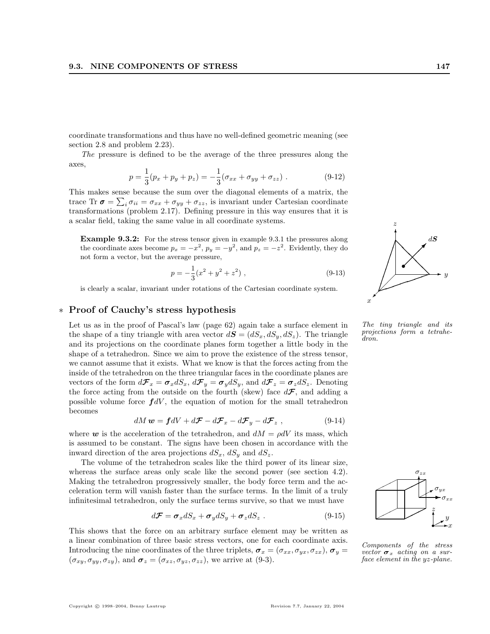coordinate transformations and thus have no well-defined geometric meaning (see section 2.8 and problem 2.23).

The pressure is defined to be the average of the three pressures along the axes,

$$
p = \frac{1}{3}(p_x + p_y + p_z) = -\frac{1}{3}(\sigma_{xx} + \sigma_{yy} + \sigma_{zz})
$$
 (9-12)

This makes sense because the sum over the diagonal elements of a matrix, the trace Tr  $\sigma = \sum_i \sigma_{ii} = \sigma_{xx} + \sigma_{yy} + \sigma_{zz}$ , is invariant under Cartesian coordinate transformations (problem 2.17). Defining pressure in this way ensures that it is a scalar field, taking the same value in all coordinate systems.

Example 9.3.2: For the stress tensor given in example 9.3.1 the pressures along the coordinate axes become  $p_x = -x^2$ ,  $p_y = -y^2$ , and  $p_z = -z^2$ . Evidently, they do not form a vector, but the average pressure,

$$
p = -\frac{1}{3}(x^2 + y^2 + z^2) , \qquad (9-13)
$$

is clearly a scalar, invariant under rotations of the Cartesian coordinate system.

#### ∗ Proof of Cauchy's stress hypothesis

Let us as in the proof of Pascal's law (page 62) again take a surface element in the shape of a tiny triangle with area vector  $d\mathbf{S} = (dS_x, dS_y, dS_z)$ . The triangle and its projections on the coordinate planes form together a little body in the shape of a tetrahedron. Since we aim to prove the existence of the stress tensor, we cannot assume that it exists. What we know is that the forces acting from the inside of the tetrahedron on the three triangular faces in the coordinate planes are vectors of the form  $d\mathcal{F}_x = \sigma_x dS_x$ ,  $d\mathcal{F}_y = \sigma_y dS_y$ , and  $d\mathcal{F}_z = \sigma_z dS_z$ . Denoting the force acting from the outside on the fourth (skew) face  $d\mathcal{F}$ , and adding a possible volume force  $fdV$ , the equation of motion for the small tetrahedron becomes

$$
dM \mathbf{w} = \mathbf{f} dV + d\mathbf{F} - d\mathbf{F}_x - d\mathbf{F}_y - d\mathbf{F}_z , \qquad (9-14)
$$

where w is the acceleration of the tetrahedron, and  $dM = \rho dV$  its mass, which is assumed to be constant. The signs have been chosen in accordance with the inward direction of the area projections  $dS_x$ ,  $dS_y$  and  $dS_z$ .

The volume of the tetrahedron scales like the third power of its linear size, whereas the surface areas only scale like the second power (see section 4.2). Making the tetrahedron progressively smaller, the body force term and the acceleration term will vanish faster than the surface terms. In the limit of a truly infinitesimal tetrahedron, only the surface terms survive, so that we must have

$$
d\mathcal{F} = \sigma_x dS_x + \sigma_y dS_y + \sigma_z dS_z \tag{9-15}
$$

This shows that the force on an arbitrary surface element may be written as a linear combination of three basic stress vectors, one for each coordinate axis. Introducing the nine coordinates of the three triplets,  $\sigma_x = (\sigma_{xx}, \sigma_{yx}, \sigma_{zx}), \sigma_y =$  $(\sigma_{xy}, \sigma_{yy}, \sigma_{zy}),$  and  $\sigma_z = (\sigma_{xz}, \sigma_{yz}, \sigma_{zz})$ , we arrive at (9-3).

¡ ¡  $\overline{x}$  $\hat{y}$ ✂ ✂ ✂✏✏✏✏✏✏✏

s ✓ ✒  $d\mathbf{S}$ 

✻

z

 $\rightarrow$ 

❅ ❅  $\times$ ❅ ❅✂ ✂ ✂ ✂

The tiny triangle and its projections form a tetrahedron.



Components of the stress vector  $\sigma_x$  acting on a surface element in the yz-plane.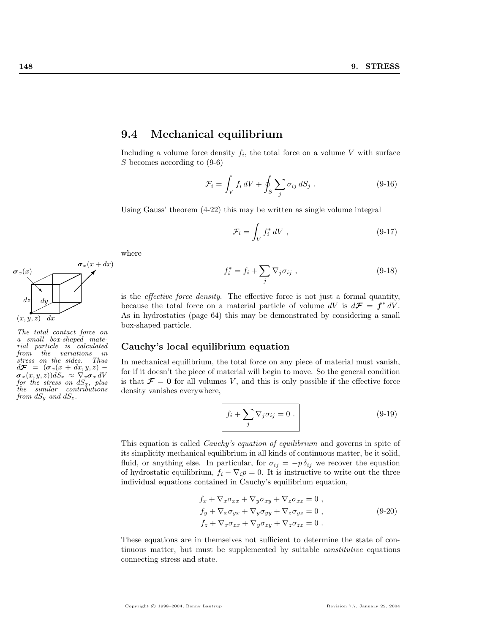## 9.4 Mechanical equilibrium

Including a volume force density  $f_i$ , the total force on a volume V with surface S becomes according to  $(9-6)$ 

$$
\mathcal{F}_i = \int_V f_i \, dV + \oint_S \sum_j \sigma_{ij} \, dS_j \tag{9-16}
$$

Using Gauss' theorem (4-22) this may be written as single volume integral

$$
\mathcal{F}_i = \int_V f_i^* dV , \qquad (9-17)
$$

where

$$
f_i^* = f_i + \sum_j \nabla_j \sigma_{ij} , \qquad (9-18)
$$

is the effective force density. The effective force is not just a formal quantity, because the total force on a material particle of volume  $dV$  is  $d\mathcal{F} = f^* dV$ . As in hydrostatics (page 64) this may be demonstrated by considering a small box-shaped particle.

#### Cauchy's local equilibrium equation

In mechanical equilibrium, the total force on any piece of material must vanish, for if it doesn't the piece of material will begin to move. So the general condition is that  $\mathcal{F} = 0$  for all volumes V, and this is only possible if the effective force density vanishes everywhere,

$$
f_i + \sum_j \nabla_j \sigma_{ij} = 0.
$$
 (9-19)

This equation is called *Cauchy's equation of equilibrium* and governs in spite of its simplicity mechanical equilibrium in all kinds of continuous matter, be it solid, fluid, or anything else. In particular, for  $\sigma_{ij} = -p \delta_{ij}$  we recover the equation of hydrostatic equilibrium,  $f_i - \nabla_i p = 0$ . It is instructive to write out the three individual equations contained in Cauchy's equilibrium equation,

$$
f_x + \nabla_x \sigma_{xx} + \nabla_y \sigma_{xy} + \nabla_z \sigma_{xz} = 0,
$$
  
\n
$$
f_y + \nabla_x \sigma_{yx} + \nabla_y \sigma_{yy} + \nabla_z \sigma_{yz} = 0,
$$
  
\n
$$
f_z + \nabla_x \sigma_{zx} + \nabla_y \sigma_{zy} + \nabla_z \sigma_{zz} = 0.
$$
\n(9-20)

These equations are in themselves not sufficient to determine the state of continuous matter, but must be supplemented by suitable *constitutive* equations connecting stress and state.



The total contact force on a small box-shaped material particle is calculated from the variations in stress on the sides. Thus  $d\mathcal{F} = (\boldsymbol{\sigma}_x(x+dx, y, z))$  –  $\sigma_x(x, y, z)$ ) $dS_x \approx \nabla_x \sigma_x dV$ <br>for the stress on  $dS_x$ , plus the similar contributions from  $dS_y$  and  $dS_z$ .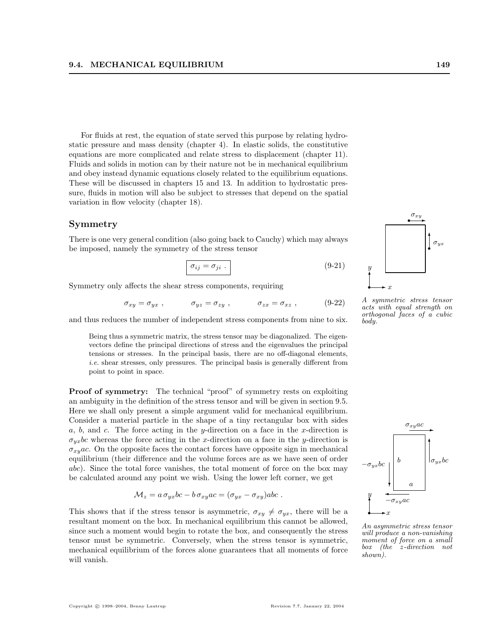For fluids at rest, the equation of state served this purpose by relating hydrostatic pressure and mass density (chapter 4). In elastic solids, the constitutive equations are more complicated and relate stress to displacement (chapter 11). Fluids and solids in motion can by their nature not be in mechanical equilibrium and obey instead dynamic equations closely related to the equilibrium equations. These will be discussed in chapters 15 and 13. In addition to hydrostatic pressure, fluids in motion will also be subject to stresses that depend on the spatial variation in flow velocity (chapter 18).

#### Symmetry

There is one very general condition (also going back to Cauchy) which may always be imposed, namely the symmetry of the stress tensor

$$
\sigma_{ij} = \sigma_{ji} \tag{9-21}
$$

Symmetry only affects the shear stress components, requiring

$$
\sigma_{xy} = \sigma_{yx} , \qquad \sigma_{yz} = \sigma_{zy} , \qquad \sigma_{zx} = \sigma_{xz} , \qquad (9-22)
$$

and thus reduces the number of independent stress components from nine to six.

Being thus a symmetric matrix, the stress tensor may be diagonalized. The eigenvectors define the principal directions of stress and the eigenvalues the principal tensions or stresses. In the principal basis, there are no off-diagonal elements, i.e. shear stresses, only pressures. The principal basis is generally different from point to point in space.

Proof of symmetry: The technical "proof" of symmetry rests on exploiting an ambiguity in the definition of the stress tensor and will be given in section 9.5. Here we shall only present a simple argument valid for mechanical equilibrium. Consider a material particle in the shape of a tiny rectangular box with sides  $a, b,$  and  $c.$  The force acting in the y-direction on a face in the x-direction is  $\sigma_{yx}$ bc whereas the force acting in the x-direction on a face in the y-direction is  $\sigma_{xu}$ ac. On the opposite faces the contact forces have opposite sign in mechanical equilibrium (their difference and the volume forces are as we have seen of order abc). Since the total force vanishes, the total moment of force on the box may be calculated around any point we wish. Using the lower left corner, we get

$$
\mathcal{M}_z = a \,\sigma_{yx}bc - b \,\sigma_{xy}ac = (\sigma_{yx} - \sigma_{xy})abc \; .
$$

This shows that if the stress tensor is asymmetric,  $\sigma_{xy} \neq \sigma_{yx}$ , there will be a resultant moment on the box. In mechanical equilibrium this cannot be allowed, since such a moment would begin to rotate the box, and consequently the stress tensor must be symmetric. Conversely, when the stress tensor is symmetric, mechanical equilibrium of the forces alone guarantees that all moments of force will vanish.

A symmetric stress tensor acts with equal strength on orthogonal faces of a cubic body.



a

 $\sigma_{xy}ac$ 

b

✛  $\sigma_{xy}ac$ 

 $-\sigma_{yx}bc$ 

✻

 $\hat{y}$ 

❄

 $\rightarrow$ 

 $^{\circ}$ 

 $\sigma_{yx}bc$ 

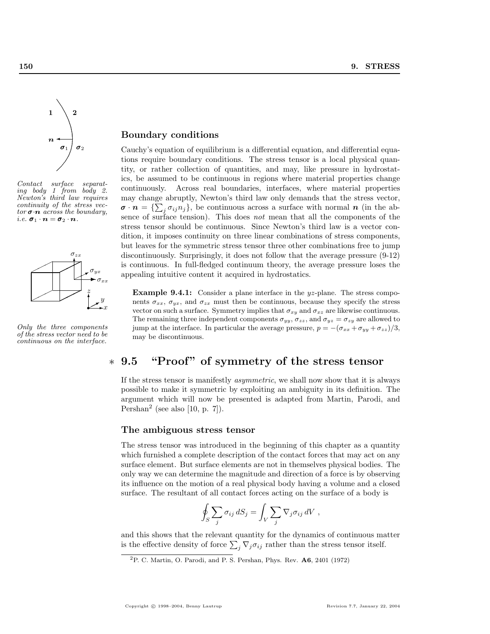

Contact surface separating body 1 from body 2. Newton's third law requires continuity of the stress vector  $\sigma \cdot n$  across the boundary, *i.e.*  $\sigma_1 \cdot n = \sigma_2 \cdot n$ .



Only the three components of the stress vector need to be continuous on the interface.

#### Boundary conditions

Cauchy's equation of equilibrium is a differential equation, and differential equations require boundary conditions. The stress tensor is a local physical quantity, or rather collection of quantities, and may, like pressure in hydrostatics, be assumed to be continuous in regions where material properties change continuously. Across real boundaries, interfaces, where material properties may change abruptly, Newton's third law only demands that the stress vector, P  $\boldsymbol{\sigma} \cdot \boldsymbol{n} = \{\sum_j \sigma_{ij} n_j\},\}$  be continuous across a surface with normal  $\boldsymbol{n}$  (in the absence of surface tension). This does not mean that all the components of the stress tensor should be continuous. Since Newton's third law is a vector condition, it imposes continuity on three linear combinations of stress components, but leaves for the symmetric stress tensor three other combinations free to jump discontinuously. Surprisingly, it does not follow that the average pressure (9-12) is continuous. In full-fledged continuum theory, the average pressure loses the appealing intuitive content it acquired in hydrostatics.

**Example 9.4.1:** Consider a plane interface in the yz-plane. The stress components  $\sigma_{xx}$ ,  $\sigma_{yx}$ , and  $\sigma_{zx}$  must then be continuous, because they specify the stress vector on such a surface. Symmetry implies that  $\sigma_{xy}$  and  $\sigma_{xz}$  are likewise continuous. The remaining three independent components  $\sigma_{yy}$ ,  $\sigma_{zz}$ , and  $\sigma_{yz} = \sigma_{zy}$  are allowed to jump at the interface. In particular the average pressure,  $p = -(\sigma_{xx} + \sigma_{yy} + \sigma_{zz})/3$ , may be discontinuous.

# ∗ 9.5 "Proof" of symmetry of the stress tensor

If the stress tensor is manifestly *asymmetric*, we shall now show that it is always possible to make it symmetric by exploiting an ambiguity in its definition. The argument which will now be presented is adapted from Martin, Parodi, and Pershan<sup>2</sup> (see also [10, p. 7]).

#### The ambiguous stress tensor

The stress tensor was introduced in the beginning of this chapter as a quantity which furnished a complete description of the contact forces that may act on any surface element. But surface elements are not in themselves physical bodies. The only way we can determine the magnitude and direction of a force is by observing its influence on the motion of a real physical body having a volume and a closed surface. The resultant of all contact forces acting on the surface of a body is

$$
\oint_S \sum_j \sigma_{ij} dS_j = \int_V \sum_j \nabla_j \sigma_{ij} dV,
$$

and this shows that the relevant quantity for the dynamics of continuous matter and this shows that the relevant quantity for the dynamics of continuous matrix is the effective density of force  $\sum_j \nabla_j \sigma_{ij}$  rather than the stress tensor itself.

<sup>&</sup>lt;sup>2</sup>P. C. Martin, O. Parodi, and P. S. Pershan, Phys. Rev.  $\mathbf{A6}$ , 2401 (1972)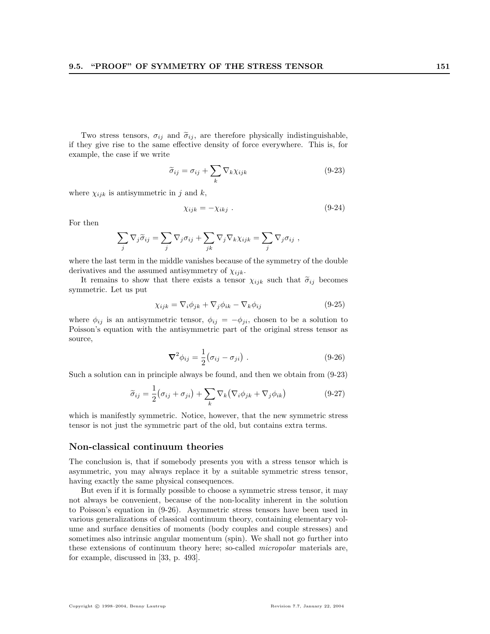Two stress tensors,  $\sigma_{ij}$  and  $\tilde{\sigma}_{ij}$ , are therefore physically indistinguishable, if they give rise to the same effective density of force everywhere. This is, for example, the case if we write

$$
\widetilde{\sigma}_{ij} = \sigma_{ij} + \sum_{k} \nabla_k \chi_{ijk} \tag{9-23}
$$

where  $\chi_{ijk}$  is antisymmetric in j and k,

$$
\chi_{ijk} = -\chi_{ikj} \tag{9-24}
$$

For then

$$
\sum_j \nabla_j \widetilde{\sigma}_{ij} = \sum_j \nabla_j \sigma_{ij} + \sum_{jk} \nabla_j \nabla_k \chi_{ijk} = \sum_j \nabla_j \sigma_{ij} ,
$$

where the last term in the middle vanishes because of the symmetry of the double derivatives and the assumed antisymmetry of  $\chi_{ijk}$ .

It remains to show that there exists a tensor  $\chi_{ijk}$  such that  $\tilde{\sigma}_{ij}$  becomes symmetric. Let us put

$$
\chi_{ijk} = \nabla_i \phi_{jk} + \nabla_j \phi_{ik} - \nabla_k \phi_{ij}
$$
\n(9-25)

where  $\phi_{ij}$  is an antisymmetric tensor,  $\phi_{ij} = -\phi_{ji}$ , chosen to be a solution to Poisson's equation with the antisymmetric part of the original stress tensor as source,

$$
\nabla^2 \phi_{ij} = \frac{1}{2} (\sigma_{ij} - \sigma_{ji}) \tag{9-26}
$$

Such a solution can in principle always be found, and then we obtain from (9-23)

$$
\widetilde{\sigma}_{ij} = \frac{1}{2} (\sigma_{ij} + \sigma_{ji}) + \sum_{k} \nabla_k (\nabla_i \phi_{jk} + \nabla_j \phi_{ik})
$$
\n(9-27)

which is manifestly symmetric. Notice, however, that the new symmetric stress tensor is not just the symmetric part of the old, but contains extra terms.

#### Non-classical continuum theories

The conclusion is, that if somebody presents you with a stress tensor which is asymmetric, you may always replace it by a suitable symmetric stress tensor, having exactly the same physical consequences.

But even if it is formally possible to choose a symmetric stress tensor, it may not always be convenient, because of the non-locality inherent in the solution to Poisson's equation in (9-26). Asymmetric stress tensors have been used in various generalizations of classical continuum theory, containing elementary volume and surface densities of moments (body couples and couple stresses) and sometimes also intrinsic angular momentum (spin). We shall not go further into these extensions of continuum theory here; so-called micropolar materials are, for example, discussed in [33, p. 493].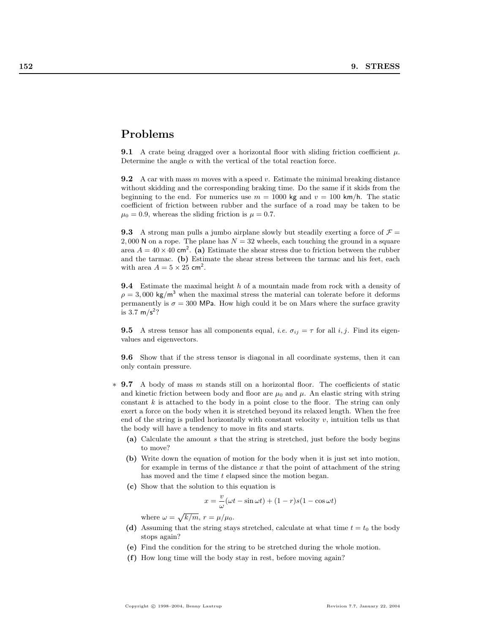# Problems

**9.1** A crate being dragged over a horizontal floor with sliding friction coefficient  $\mu$ . Determine the angle  $\alpha$  with the vertical of the total reaction force.

**9.2** A car with mass m moves with a speed v. Estimate the minimal breaking distance without skidding and the corresponding braking time. Do the same if it skids from the beginning to the end. For numerics use  $m = 1000$  kg and  $v = 100$  km/h. The static coefficient of friction between rubber and the surface of a road may be taken to be  $\mu_0 = 0.9$ , whereas the sliding friction is  $\mu = 0.7$ .

**9.3** A strong man pulls a jumbo airplane slowly but steadily exerting a force of  $\mathcal{F} =$ 2,000 N on a rope. The plane has  $N = 32$  wheels, each touching the ground in a square area  $A = 40 \times 40$  cm<sup>2</sup>. (a) Estimate the shear stress due to friction between the rubber and the tarmac. (b) Estimate the shear stress between the tarmac and his feet, each with area  $A = 5 \times 25$  cm<sup>2</sup>.

**9.4** Estimate the maximal height  $h$  of a mountain made from rock with a density of  $\rho = 3{,}000 \text{ kg/m}^3$  when the maximal stress the material can tolerate before it deforms permanently is  $\sigma = 300$  MPa. How high could it be on Mars where the surface gravity is 3.7 m/s<sup>2</sup>?

**9.5** A stress tensor has all components equal, *i.e.*  $\sigma_{ij} = \tau$  for all *i, j.* Find its eigenvalues and eigenvectors.

9.6 Show that if the stress tensor is diagonal in all coordinate systems, then it can only contain pressure.

- ∗ 9.7 A body of mass m stands still on a horizontal floor. The coefficients of static and kinetic friction between body and floor are  $\mu_0$  and  $\mu$ . An elastic string with string constant  $k$  is attached to the body in a point close to the floor. The string can only exert a force on the body when it is stretched beyond its relaxed length. When the free end of the string is pulled horizontally with constant velocity  $v$ , intuition tells us that the body will have a tendency to move in fits and starts.
	- (a) Calculate the amount  $s$  that the string is stretched, just before the body begins to move?
	- (b) Write down the equation of motion for the body when it is just set into motion, for example in terms of the distance  $x$  that the point of attachment of the string has moved and the time  $t$  elapsed since the motion began.
	- (c) Show that the solution to this equation is

$$
x = \frac{v}{\omega}(\omega t - \sin \omega t) + (1 - r)s(1 - \cos \omega t)
$$

where  $\omega = \sqrt{k/m}$ ,  $r = \mu/\mu_0$ .

- (d) Assuming that the string stays stretched, calculate at what time  $t = t_0$  the body stops again?
- (e) Find the condition for the string to be stretched during the whole motion.
- (f) How long time will the body stay in rest, before moving again?